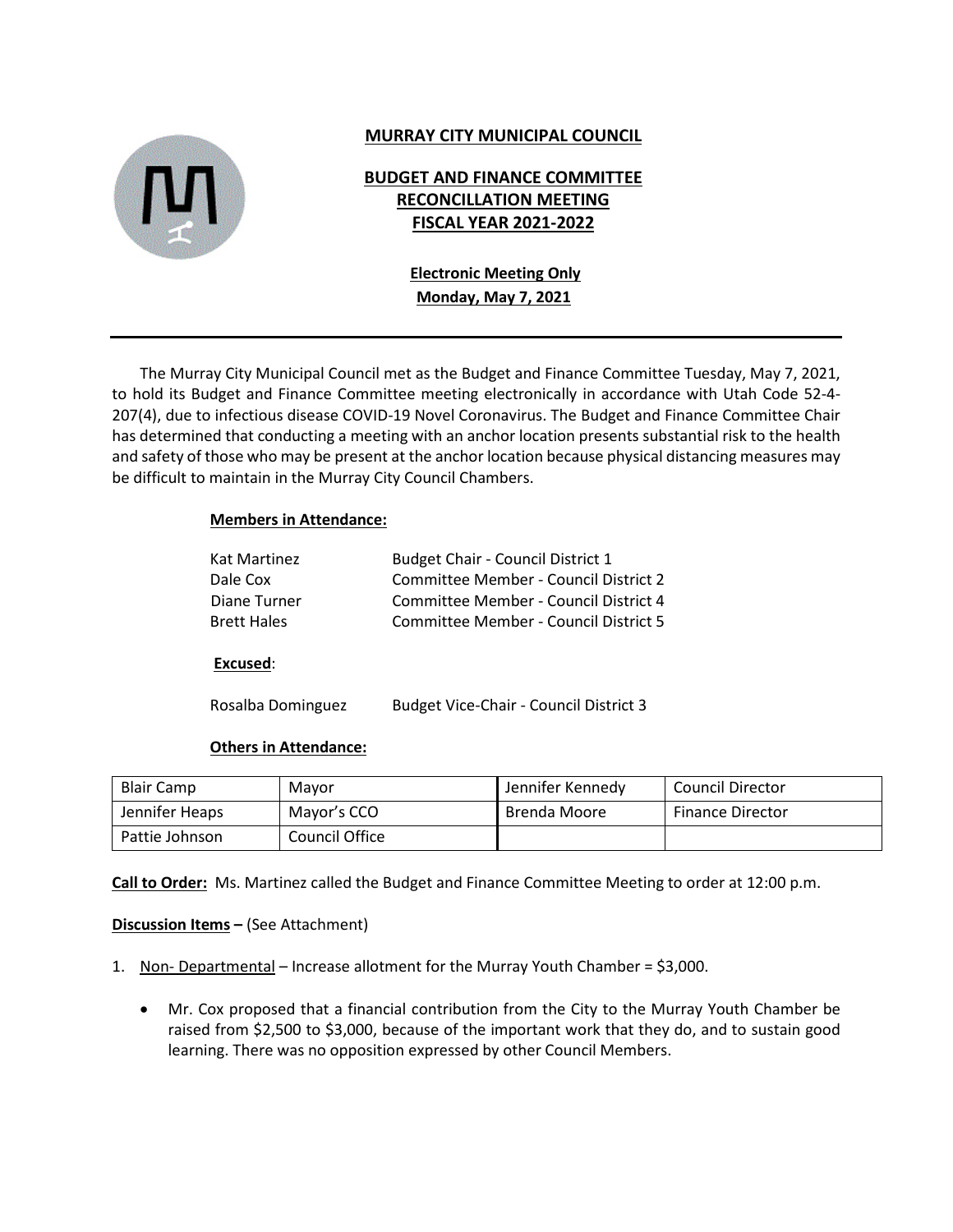

## **MURRAY CITY MUNICIPAL COUNCIL**

## **BUDGET AND FINANCE COMMITTEE RECONCILLATION MEETING FISCAL YEAR 2021-2022**

# **Electronic Meeting Only Monday, May 7, 2021**

The Murray City Municipal Council met as the Budget and Finance Committee Tuesday, May 7, 2021, to hold its Budget and Finance Committee meeting electronically in accordance with Utah Code 52-4- 207(4), due to infectious disease COVID-19 Novel Coronavirus. The Budget and Finance Committee Chair has determined that conducting a meeting with an anchor location presents substantial risk to the health and safety of those who may be present at the anchor location because physical distancing measures may be difficult to maintain in the Murray City Council Chambers.

#### **Members in Attendance:**

| <b>Budget Chair - Council District 1</b>     |
|----------------------------------------------|
| Committee Member - Council District 2        |
| Committee Member - Council District 4        |
| <b>Committee Member - Council District 5</b> |
|                                              |

#### **Excused**:

Rosalba Dominguez Budget Vice-Chair - Council District 3

#### **Others in Attendance:**

| <b>Blair Camp</b> | Mayor          | Jennifer Kennedy | <b>Council Director</b> |
|-------------------|----------------|------------------|-------------------------|
| Jennifer Heaps    | Mayor's CCO    | Brenda Moore     | <b>Finance Director</b> |
| Pattie Johnson    | Council Office |                  |                         |

**Call to Order:** Ms. Martinez called the Budget and Finance Committee Meeting to order at 12:00 p.m.

#### **Discussion Items –** (See Attachment)

- 1. Non- Departmental Increase allotment for the Murray Youth Chamber = \$3,000.
	- Mr. Cox proposed that a financial contribution from the City to the Murray Youth Chamber be raised from \$2,500 to \$3,000, because of the important work that they do, and to sustain good learning. There was no opposition expressed by other Council Members.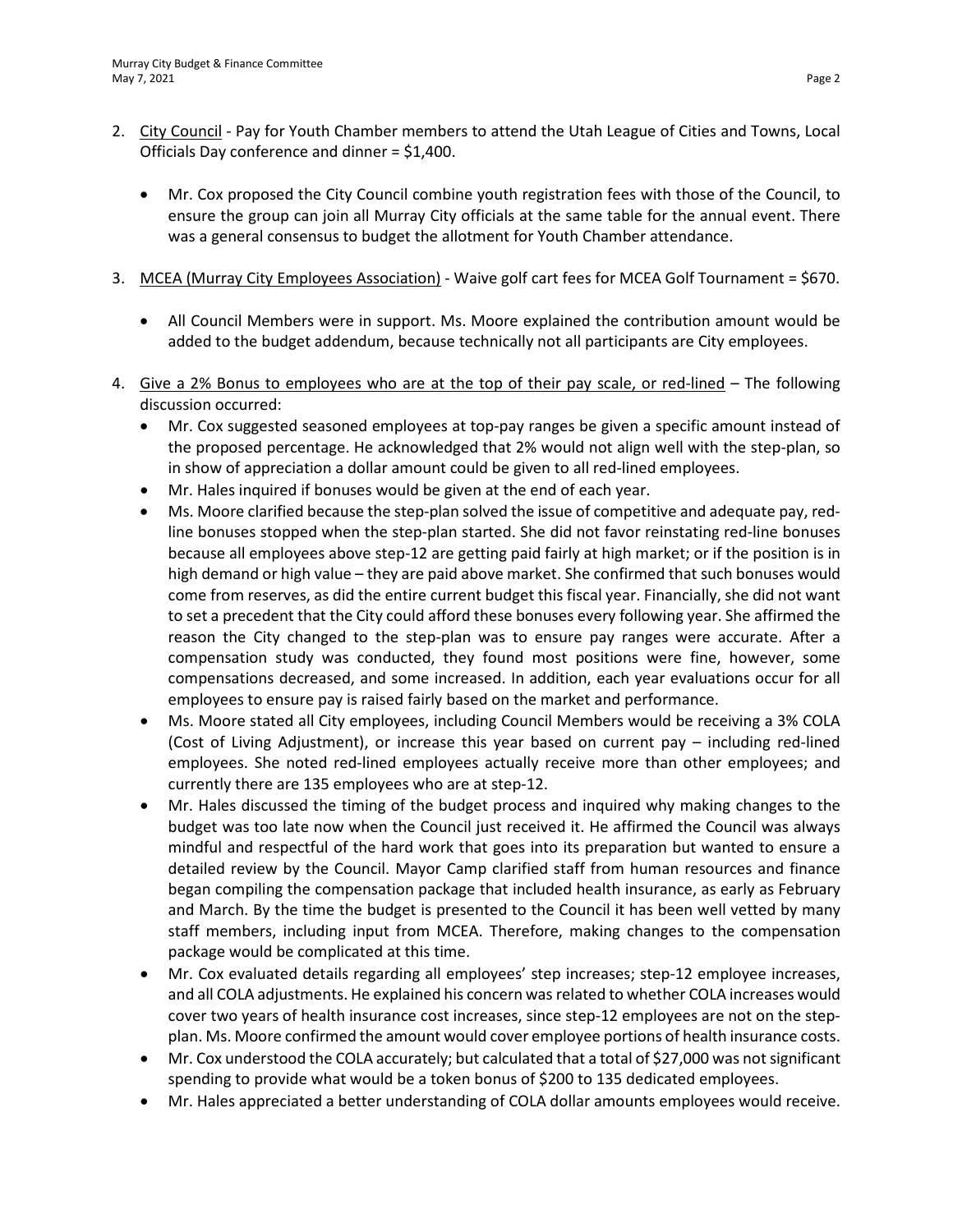- 2. City Council Pay for Youth Chamber members to attend the Utah League of Cities and Towns, Local Officials Day conference and dinner = \$1,400.
	- Mr. Cox proposed the City Council combine youth registration fees with those of the Council, to ensure the group can join all Murray City officials at the same table for the annual event. There was a general consensus to budget the allotment for Youth Chamber attendance.
- 3. MCEA (Murray City Employees Association) Waive golf cart fees for MCEA Golf Tournament = \$670.
	- All Council Members were in support. Ms. Moore explained the contribution amount would be added to the budget addendum, because technically not all participants are City employees.
- 4. Give a 2% Bonus to employees who are at the top of their pay scale, or red-lined The following discussion occurred:
	- Mr. Cox suggested seasoned employees at top-pay ranges be given a specific amount instead of the proposed percentage. He acknowledged that 2% would not align well with the step-plan, so in show of appreciation a dollar amount could be given to all red-lined employees.
	- Mr. Hales inquired if bonuses would be given at the end of each year.
	- Ms. Moore clarified because the step-plan solved the issue of competitive and adequate pay, redline bonuses stopped when the step-plan started. She did not favor reinstating red-line bonuses because all employees above step-12 are getting paid fairly at high market; or if the position is in high demand or high value – they are paid above market. She confirmed that such bonuses would come from reserves, as did the entire current budget this fiscal year. Financially, she did not want to set a precedent that the City could afford these bonuses every following year. She affirmed the reason the City changed to the step-plan was to ensure pay ranges were accurate. After a compensation study was conducted, they found most positions were fine, however, some compensations decreased, and some increased. In addition, each year evaluations occur for all employees to ensure pay is raised fairly based on the market and performance.
	- Ms. Moore stated all City employees, including Council Members would be receiving a 3% COLA (Cost of Living Adjustment), or increase this year based on current pay – including red-lined employees. She noted red-lined employees actually receive more than other employees; and currently there are 135 employees who are at step-12.
	- Mr. Hales discussed the timing of the budget process and inquired why making changes to the budget was too late now when the Council just received it. He affirmed the Council was always mindful and respectful of the hard work that goes into its preparation but wanted to ensure a detailed review by the Council. Mayor Camp clarified staff from human resources and finance began compiling the compensation package that included health insurance, as early as February and March. By the time the budget is presented to the Council it has been well vetted by many staff members, including input from MCEA. Therefore, making changes to the compensation package would be complicated at this time.
	- Mr. Cox evaluated details regarding all employees' step increases; step-12 employee increases, and all COLA adjustments. He explained his concern was related to whether COLA increases would cover two years of health insurance cost increases, since step-12 employees are not on the stepplan. Ms. Moore confirmed the amount would cover employee portions of health insurance costs.
	- Mr. Cox understood the COLA accurately; but calculated that a total of \$27,000 was not significant spending to provide what would be a token bonus of \$200 to 135 dedicated employees.
	- Mr. Hales appreciated a better understanding of COLA dollar amounts employees would receive.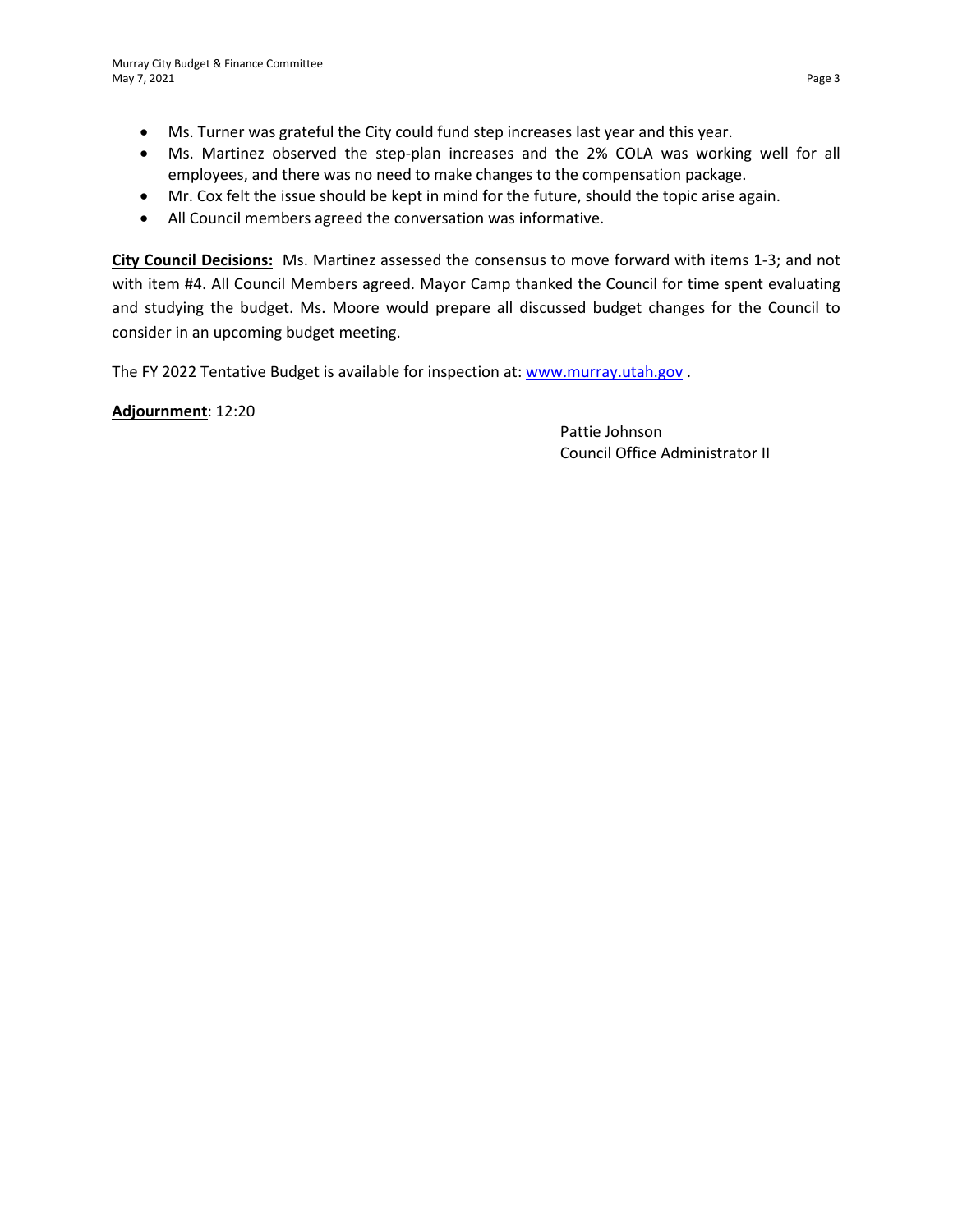- Ms. Turner was grateful the City could fund step increases last year and this year.
- Ms. Martinez observed the step-plan increases and the 2% COLA was working well for all employees, and there was no need to make changes to the compensation package.
- Mr. Cox felt the issue should be kept in mind for the future, should the topic arise again.
- All Council members agreed the conversation was informative.

**City Council Decisions:** Ms. Martinez assessed the consensus to move forward with items 1-3; and not with item #4. All Council Members agreed. Mayor Camp thanked the Council for time spent evaluating and studying the budget. Ms. Moore would prepare all discussed budget changes for the Council to consider in an upcoming budget meeting.

The FY 2022 Tentative Budget is available for inspection at: [www.murray.utah.gov](http://www.murray.utah.gov/) .

**Adjournment**: 12:20

Pattie Johnson Council Office Administrator II